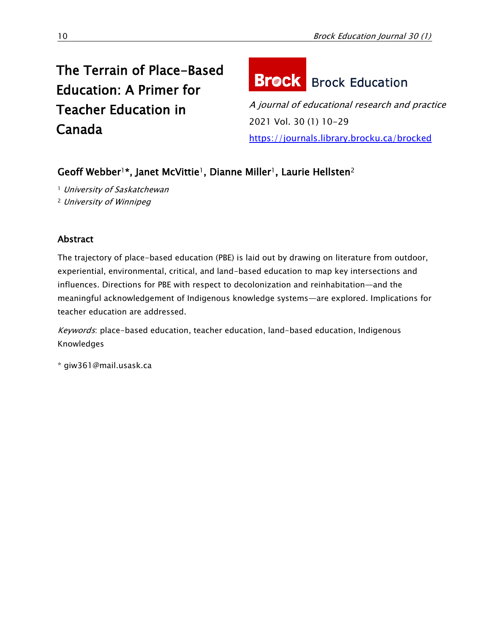# The Terrain of Place-Based Education: A Primer for Teacher Education in Canada

# **Brock** Brock Education

A journal of educational research and practice 2021 Vol. 30 (1) 10-29 <https://journals.library.brocku.ca/brocked>

## Geoff Webber<sup>1\*</sup>, Janet McVittie<sup>1</sup>, Dianne Miller<sup>1</sup>, Laurie Hellsten<sup>2</sup>

<sup>1</sup> University of Saskatchewan <sup>2</sup> University of Winnipeg

### Abstract

The trajectory of place-based education (PBE) is laid out by drawing on literature from outdoor, experiential, environmental, critical, and land-based education to map key intersections and influences. Directions for PBE with respect to decolonization and reinhabitation—and the meaningful acknowledgement of Indigenous knowledge systems—are explored. Implications for teacher education are addressed.

Keywords: place-based education, teacher education, land-based education, Indigenous Knowledges

\* giw361@mail.usask.ca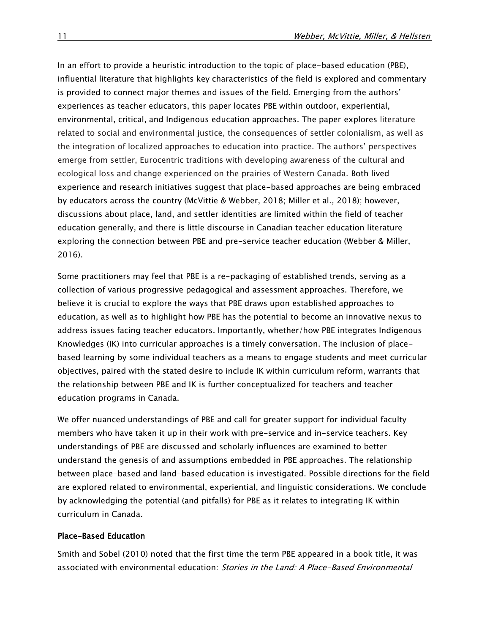In an effort to provide a heuristic introduction to the topic of place-based education (PBE), influential literature that highlights key characteristics of the field is explored and commentary is provided to connect major themes and issues of the field. Emerging from the authors' experiences as teacher educators, this paper locates PBE within outdoor, experiential, environmental, critical, and Indigenous education approaches. The paper explores literature related to social and environmental justice, the consequences of settler colonialism, as well as the integration of localized approaches to education into practice. The authors' perspectives emerge from settler, Eurocentric traditions with developing awareness of the cultural and ecological loss and change experienced on the prairies of Western Canada. Both lived experience and research initiatives suggest that place-based approaches are being embraced by educators across the country (McVittie & Webber, 2018; Miller et al., 2018); however, discussions about place, land, and settler identities are limited within the field of teacher education generally, and there is little discourse in Canadian teacher education literature exploring the connection between PBE and pre-service teacher education (Webber & Miller, 2016).

Some practitioners may feel that PBE is a re-packaging of established trends, serving as a collection of various progressive pedagogical and assessment approaches. Therefore, we believe it is crucial to explore the ways that PBE draws upon established approaches to education, as well as to highlight how PBE has the potential to become an innovative nexus to address issues facing teacher educators. Importantly, whether/how PBE integrates Indigenous Knowledges (IK) into curricular approaches is a timely conversation. The inclusion of placebased learning by some individual teachers as a means to engage students and meet curricular objectives, paired with the stated desire to include IK within curriculum reform, warrants that the relationship between PBE and IK is further conceptualized for teachers and teacher education programs in Canada.

We offer nuanced understandings of PBE and call for greater support for individual faculty members who have taken it up in their work with pre-service and in-service teachers. Key understandings of PBE are discussed and scholarly influences are examined to better understand the genesis of and assumptions embedded in PBE approaches. The relationship between place-based and land-based education is investigated. Possible directions for the field are explored related to environmental, experiential, and linguistic considerations. We conclude by acknowledging the potential (and pitfalls) for PBE as it relates to integrating IK within curriculum in Canada.

#### Place-Based Education

Smith and Sobel (2010) noted that the first time the term PBE appeared in a book title, it was associated with environmental education: Stories in the Land: A Place-Based Environmental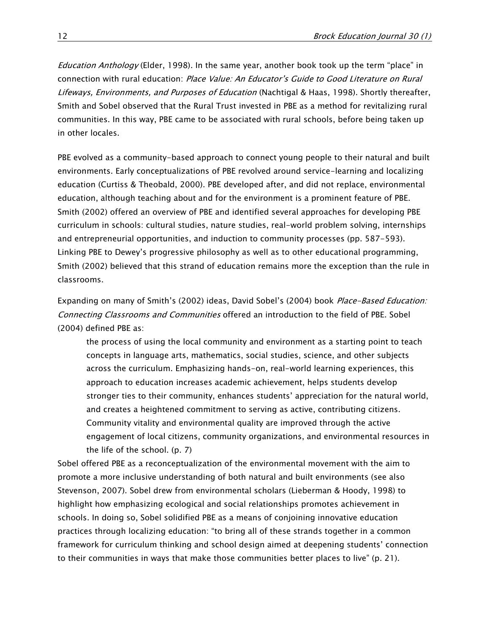Education Anthology (Elder, 1998). In the same year, another book took up the term "place" in connection with rural education: Place Value: An Educator's Guide to Good Literature on Rural Lifeways, Environments, and Purposes of Education (Nachtigal & Haas, 1998). Shortly thereafter, Smith and Sobel observed that the Rural Trust invested in PBE as a method for revitalizing rural communities. In this way, PBE came to be associated with rural schools, before being taken up in other locales.

PBE evolved as a community-based approach to connect young people to their natural and built environments. Early conceptualizations of PBE revolved around service-learning and localizing education (Curtiss & Theobald, 2000). PBE developed after, and did not replace, environmental education, although teaching about and for the environment is a prominent feature of PBE. Smith (2002) offered an overview of PBE and identified several approaches for developing PBE curriculum in schools: cultural studies, nature studies, real-world problem solving, internships and entrepreneurial opportunities, and induction to community processes (pp. 587-593). Linking PBE to Dewey's progressive philosophy as well as to other educational programming, Smith (2002) believed that this strand of education remains more the exception than the rule in classrooms.

Expanding on many of Smith's (2002) ideas, David Sobel's (2004) book *Place-Based Education:* Connecting Classrooms and Communities offered an introduction to the field of PBE. Sobel (2004) defined PBE as:

the process of using the local community and environment as a starting point to teach concepts in language arts, mathematics, social studies, science, and other subjects across the curriculum. Emphasizing hands-on, real-world learning experiences, this approach to education increases academic achievement, helps students develop stronger ties to their community, enhances students' appreciation for the natural world, and creates a heightened commitment to serving as active, contributing citizens. Community vitality and environmental quality are improved through the active engagement of local citizens, community organizations, and environmental resources in the life of the school. (p. 7)

Sobel offered PBE as a reconceptualization of the environmental movement with the aim to promote a more inclusive understanding of both natural and built environments (see also Stevenson, 2007). Sobel drew from environmental scholars (Lieberman & Hoody, 1998) to highlight how emphasizing ecological and social relationships promotes achievement in schools. In doing so, Sobel solidified PBE as a means of conjoining innovative education practices through localizing education: "to bring all of these strands together in a common framework for curriculum thinking and school design aimed at deepening students' connection to their communities in ways that make those communities better places to live" (p. 21).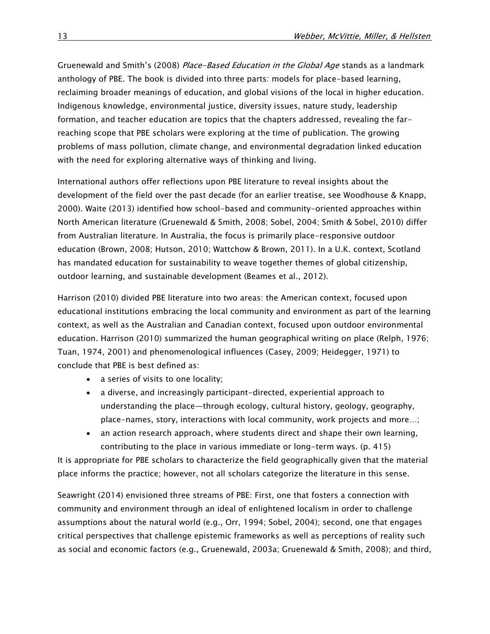Gruenewald and Smith's (2008) Place-Based Education in the Global Age stands as a landmark anthology of PBE. The book is divided into three parts: models for place-based learning, reclaiming broader meanings of education, and global visions of the local in higher education. Indigenous knowledge, environmental justice, diversity issues, nature study, leadership formation, and teacher education are topics that the chapters addressed, revealing the farreaching scope that PBE scholars were exploring at the time of publication. The growing problems of mass pollution, climate change, and environmental degradation linked education with the need for exploring alternative ways of thinking and living.

International authors offer reflections upon PBE literature to reveal insights about the development of the field over the past decade (for an earlier treatise, see Woodhouse & Knapp, 2000). Waite (2013) identified how school-based and community-oriented approaches within North American literature (Gruenewald & Smith, 2008; Sobel, 2004; Smith & Sobel, 2010) differ from Australian literature. In Australia, the focus is primarily place-responsive outdoor education (Brown, 2008; Hutson, 2010; Wattchow & Brown, 2011). In a U.K. context, Scotland has mandated education for sustainability to weave together themes of global citizenship, outdoor learning, and sustainable development (Beames et al., 2012).

Harrison (2010) divided PBE literature into two areas: the American context, focused upon educational institutions embracing the local community and environment as part of the learning context, as well as the Australian and Canadian context, focused upon outdoor environmental education. Harrison (2010) summarized the human geographical writing on place (Relph, 1976; Tuan, 1974, 2001) and phenomenological influences (Casey, 2009; Heidegger, 1971) to conclude that PBE is best defined as:

- a series of visits to one locality;
- a diverse, and increasingly participant-directed, experiential approach to understanding the place—through ecology, cultural history, geology, geography, place-names, story, interactions with local community, work projects and more…;
- an action research approach, where students direct and shape their own learning, contributing to the place in various immediate or long-term ways. (p. 415)

It is appropriate for PBE scholars to characterize the field geographically given that the material place informs the practice; however, not all scholars categorize the literature in this sense.

Seawright (2014) envisioned three streams of PBE: First, one that fosters a connection with community and environment through an ideal of enlightened localism in order to challenge assumptions about the natural world (e.g., Orr, 1994; Sobel, 2004); second, one that engages critical perspectives that challenge epistemic frameworks as well as perceptions of reality such as social and economic factors (e.g., Gruenewald, 2003a; Gruenewald & Smith, 2008); and third,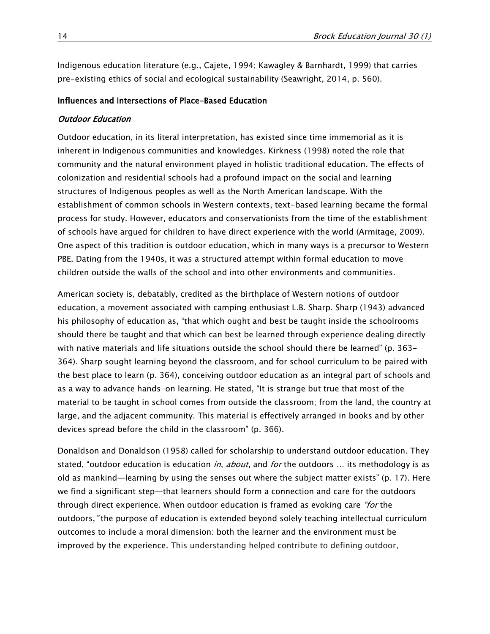Indigenous education literature (e.g., Cajete, 1994; Kawagley & Barnhardt, 1999) that carries pre-existing ethics of social and ecological sustainability (Seawright, 2014, p. 560).

#### Influences and Intersections of Place-Based Education

#### Outdoor Education

Outdoor education, in its literal interpretation, has existed since time immemorial as it is inherent in Indigenous communities and knowledges. Kirkness (1998) noted the role that community and the natural environment played in holistic traditional education. The effects of colonization and residential schools had a profound impact on the social and learning structures of Indigenous peoples as well as the North American landscape. With the establishment of common schools in Western contexts, text-based learning became the formal process for study. However, educators and conservationists from the time of the establishment of schools have argued for children to have direct experience with the world (Armitage, 2009). One aspect of this tradition is outdoor education, which in many ways is a precursor to Western PBE. Dating from the 1940s, it was a structured attempt within formal education to move children outside the walls of the school and into other environments and communities.

American society is, debatably, credited as the birthplace of Western notions of outdoor education, a movement associated with camping enthusiast L.B. Sharp. Sharp (1943) advanced his philosophy of education as, "that which ought and best be taught inside the schoolrooms should there be taught and that which can best be learned through experience dealing directly with native materials and life situations outside the school should there be learned" (p. 363- 364). Sharp sought learning beyond the classroom, and for school curriculum to be paired with the best place to learn (p. 364), conceiving outdoor education as an integral part of schools and as a way to advance hands-on learning. He stated, "It is strange but true that most of the material to be taught in school comes from outside the classroom; from the land, the country at large, and the adjacent community. This material is effectively arranged in books and by other devices spread before the child in the classroom" (p. 366).

Donaldson and Donaldson (1958) called for scholarship to understand outdoor education. They stated, "outdoor education is education in, about, and for the outdoors  $\dots$  its methodology is as old as mankind—learning by using the senses out where the subject matter exists" (p. 17). Here we find a significant step—that learners should form a connection and care for the outdoors through direct experience. When outdoor education is framed as evoking care "for the outdoors," the purpose of education is extended beyond solely teaching intellectual curriculum outcomes to include a moral dimension: both the learner and the environment must be improved by the experience. This understanding helped contribute to defining outdoor,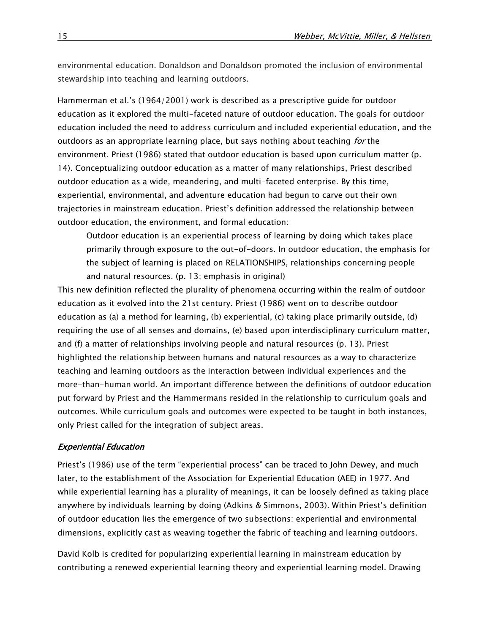environmental education. Donaldson and Donaldson promoted the inclusion of environmental stewardship into teaching and learning outdoors.

Hammerman et al.'s (1964/2001) work is described as a prescriptive guide for outdoor education as it explored the multi-faceted nature of outdoor education. The goals for outdoor education included the need to address curriculum and included experiential education, and the outdoors as an appropriate learning place, but says nothing about teaching for the environment. Priest (1986) stated that outdoor education is based upon curriculum matter (p. 14). Conceptualizing outdoor education as a matter of many relationships, Priest described outdoor education as a wide, meandering, and multi-faceted enterprise. By this time, experiential, environmental, and adventure education had begun to carve out their own trajectories in mainstream education. Priest's definition addressed the relationship between outdoor education, the environment, and formal education:

Outdoor education is an experiential process of learning by doing which takes place primarily through exposure to the out-of-doors. In outdoor education, the emphasis for the subject of learning is placed on RELATIONSHIPS, relationships concerning people and natural resources. (p. 13; emphasis in original)

This new definition reflected the plurality of phenomena occurring within the realm of outdoor education as it evolved into the 21st century. Priest (1986) went on to describe outdoor education as (a) a method for learning, (b) experiential, (c) taking place primarily outside, (d) requiring the use of all senses and domains, (e) based upon interdisciplinary curriculum matter, and (f) a matter of relationships involving people and natural resources (p. 13). Priest highlighted the relationship between humans and natural resources as a way to characterize teaching and learning outdoors as the interaction between individual experiences and the more-than-human world. An important difference between the definitions of outdoor education put forward by Priest and the Hammermans resided in the relationship to curriculum goals and outcomes. While curriculum goals and outcomes were expected to be taught in both instances, only Priest called for the integration of subject areas.

#### Experiential Education

Priest's (1986) use of the term "experiential process" can be traced to John Dewey, and much later, to the establishment of the Association for Experiential Education (AEE) in 1977. And while experiential learning has a plurality of meanings, it can be loosely defined as taking place anywhere by individuals learning by doing (Adkins & Simmons, 2003). Within Priest's definition of outdoor education lies the emergence of two subsections: experiential and environmental dimensions, explicitly cast as weaving together the fabric of teaching and learning outdoors.

David Kolb is credited for popularizing experiential learning in mainstream education by contributing a renewed experiential learning theory and experiential learning model. Drawing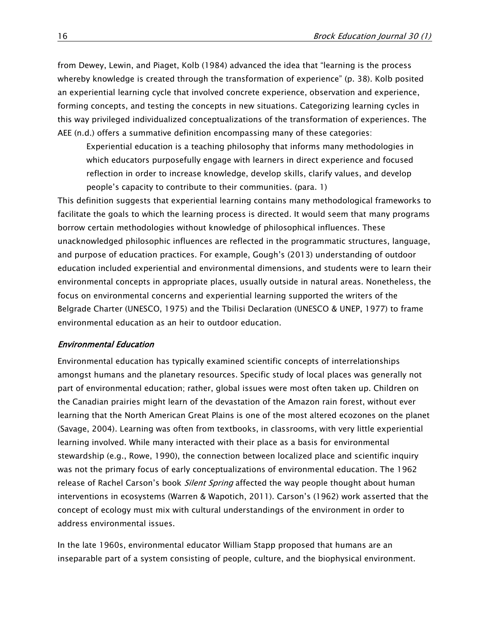from Dewey, Lewin, and Piaget, Kolb (1984) advanced the idea that "learning is the process whereby knowledge is created through the transformation of experience" (p. 38). Kolb posited an experiential learning cycle that involved concrete experience, observation and experience, forming concepts, and testing the concepts in new situations. Categorizing learning cycles in this way privileged individualized conceptualizations of the transformation of experiences. The AEE (n.d.) offers a summative definition encompassing many of these categories:

Experiential education is a teaching philosophy that informs many methodologies in which educators purposefully engage with learners in direct experience and focused reflection in order to increase knowledge, develop skills, clarify values, and develop people's capacity to contribute to their communities. (para. 1)

This definition suggests that experiential learning contains many methodological frameworks to facilitate the goals to which the learning process is directed. It would seem that many programs borrow certain methodologies without knowledge of philosophical influences. These unacknowledged philosophic influences are reflected in the programmatic structures, language, and purpose of education practices. For example, Gough's (2013) understanding of outdoor education included experiential and environmental dimensions, and students were to learn their environmental concepts in appropriate places, usually outside in natural areas. Nonetheless, the focus on environmental concerns and experiential learning supported the writers of the Belgrade Charter (UNESCO, 1975) and the Tbilisi Declaration (UNESCO & UNEP, 1977) to frame environmental education as an heir to outdoor education.

#### Environmental Education

Environmental education has typically examined scientific concepts of interrelationships amongst humans and the planetary resources. Specific study of local places was generally not part of environmental education; rather, global issues were most often taken up. Children on the Canadian prairies might learn of the devastation of the Amazon rain forest, without ever learning that the North American Great Plains is one of the most altered ecozones on the planet (Savage, 2004). Learning was often from textbooks, in classrooms, with very little experiential learning involved. While many interacted with their place as a basis for environmental stewardship (e.g., Rowe, 1990), the connection between localized place and scientific inquiry was not the primary focus of early conceptualizations of environmental education. The 1962 release of Rachel Carson's book *Silent Spring* affected the way people thought about human interventions in ecosystems (Warren & Wapotich, 2011). Carson's (1962) work asserted that the concept of ecology must mix with cultural understandings of the environment in order to address environmental issues.

In the late 1960s, environmental educator William Stapp proposed that humans are an inseparable part of a system consisting of people, culture, and the biophysical environment.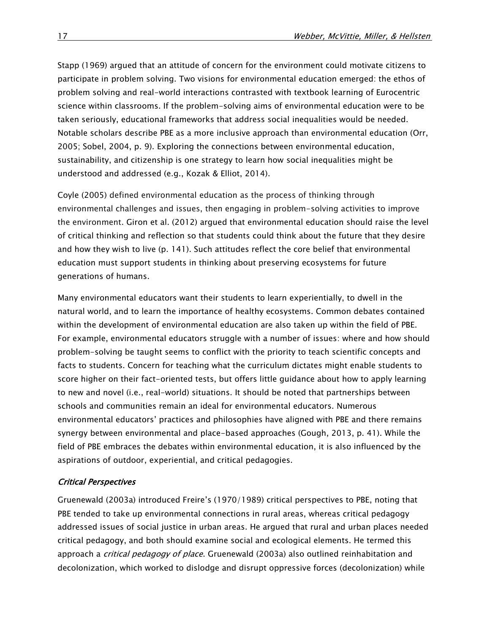Stapp (1969) argued that an attitude of concern for the environment could motivate citizens to participate in problem solving. Two visions for environmental education emerged: the ethos of problem solving and real-world interactions contrasted with textbook learning of Eurocentric science within classrooms. If the problem-solving aims of environmental education were to be taken seriously, educational frameworks that address social inequalities would be needed. Notable scholars describe PBE as a more inclusive approach than environmental education (Orr, 2005; Sobel, 2004, p. 9). Exploring the connections between environmental education, sustainability, and citizenship is one strategy to learn how social inequalities might be understood and addressed (e.g., Kozak & Elliot, 2014).

Coyle (2005) defined environmental education as the process of thinking through environmental challenges and issues, then engaging in problem-solving activities to improve the environment. Giron et al. (2012) argued that environmental education should raise the level of critical thinking and reflection so that students could think about the future that they desire and how they wish to live (p. 141). Such attitudes reflect the core belief that environmental education must support students in thinking about preserving ecosystems for future generations of humans.

Many environmental educators want their students to learn experientially, to dwell in the natural world, and to learn the importance of healthy ecosystems. Common debates contained within the development of environmental education are also taken up within the field of PBE. For example, environmental educators struggle with a number of issues: where and how should problem-solving be taught seems to conflict with the priority to teach scientific concepts and facts to students. Concern for teaching what the curriculum dictates might enable students to score higher on their fact-oriented tests, but offers little guidance about how to apply learning to new and novel (i.e., real-world) situations. It should be noted that partnerships between schools and communities remain an ideal for environmental educators. Numerous environmental educators' practices and philosophies have aligned with PBE and there remains synergy between environmental and place-based approaches (Gough, 2013, p. 41). While the field of PBE embraces the debates within environmental education, it is also influenced by the aspirations of outdoor, experiential, and critical pedagogies.

#### Critical Perspectives

Gruenewald (2003a) introduced Freire's (1970/1989) critical perspectives to PBE, noting that PBE tended to take up environmental connections in rural areas, whereas critical pedagogy addressed issues of social justice in urban areas. He argued that rural and urban places needed critical pedagogy, and both should examine social and ecological elements. He termed this approach a *critical pedagogy of place*. Gruenewald (2003a) also outlined reinhabitation and decolonization, which worked to dislodge and disrupt oppressive forces (decolonization) while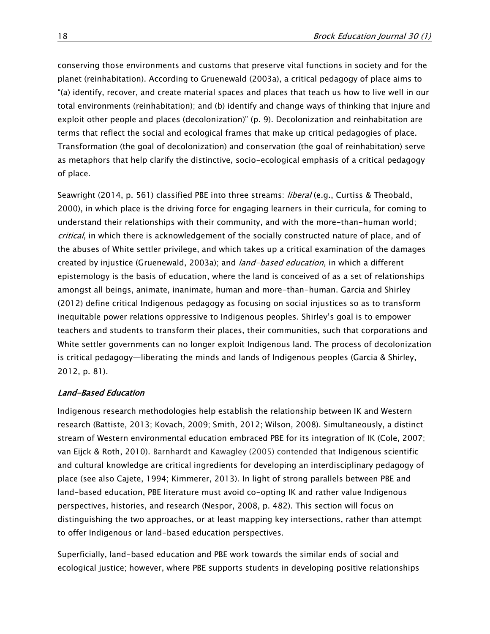conserving those environments and customs that preserve vital functions in society and for the planet (reinhabitation). According to Gruenewald (2003a), a critical pedagogy of place aims to "(a) identify, recover, and create material spaces and places that teach us how to live well in our total environments (reinhabitation); and (b) identify and change ways of thinking that injure and exploit other people and places (decolonization)" (p. 9). Decolonization and reinhabitation are terms that reflect the social and ecological frames that make up critical pedagogies of place. Transformation (the goal of decolonization) and conservation (the goal of reinhabitation) serve as metaphors that help clarify the distinctive, socio-ecological emphasis of a critical pedagogy of place.

Seawright (2014, p. 561) classified PBE into three streams: *liberal* (e.g., Curtiss & Theobald, 2000), in which place is the driving force for engaging learners in their curricula, for coming to understand their relationships with their community, and with the more-than-human world; critical, in which there is acknowledgement of the socially constructed nature of place, and of the abuses of White settler privilege, and which takes up a critical examination of the damages created by injustice (Gruenewald, 2003a); and *land-based education*, in which a different epistemology is the basis of education, where the land is conceived of as a set of relationships amongst all beings, animate, inanimate, human and more-than-human. Garcia and Shirley (2012) define critical Indigenous pedagogy as focusing on social injustices so as to transform inequitable power relations oppressive to Indigenous peoples. Shirley's goal is to empower teachers and students to transform their places, their communities, such that corporations and White settler governments can no longer exploit Indigenous land. The process of decolonization is critical pedagogy—liberating the minds and lands of Indigenous peoples (Garcia & Shirley, 2012, p. 81).

#### Land-Based Education

Indigenous research methodologies help establish the relationship between IK and Western research (Battiste, 2013; Kovach, 2009; Smith, 2012; Wilson, 2008). Simultaneously, a distinct stream of Western environmental education embraced PBE for its integration of IK (Cole, 2007; van Eijck & Roth, 2010). Barnhardt and Kawagley (2005) contended that Indigenous scientific and cultural knowledge are critical ingredients for developing an interdisciplinary pedagogy of place (see also Cajete, 1994; Kimmerer, 2013). In light of strong parallels between PBE and land-based education, PBE literature must avoid co-opting IK and rather value Indigenous perspectives, histories, and research (Nespor, 2008, p. 482). This section will focus on distinguishing the two approaches, or at least mapping key intersections, rather than attempt to offer Indigenous or land-based education perspectives.

Superficially, land-based education and PBE work towards the similar ends of social and ecological justice; however, where PBE supports students in developing positive relationships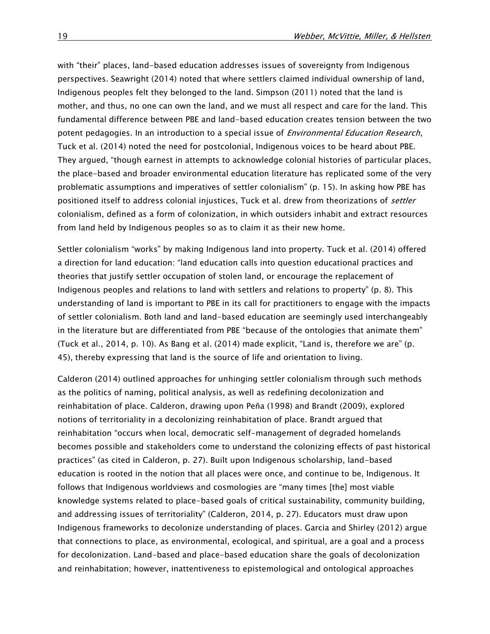with "their" places, land-based education addresses issues of sovereignty from Indigenous perspectives. Seawright (2014) noted that where settlers claimed individual ownership of land, Indigenous peoples felt they belonged to the land. Simpson (2011) noted that the land is mother, and thus, no one can own the land, and we must all respect and care for the land. This fundamental difference between PBE and land-based education creates tension between the two potent pedagogies. In an introduction to a special issue of *Environmental Education Research*, Tuck et al. (2014) noted the need for postcolonial, Indigenous voices to be heard about PBE. They argued, "though earnest in attempts to acknowledge colonial histories of particular places, the place-based and broader environmental education literature has replicated some of the very problematic assumptions and imperatives of settler colonialism" (p. 15). In asking how PBE has positioned itself to address colonial injustices, Tuck et al. drew from theorizations of *settler* colonialism, defined as a form of colonization, in which outsiders inhabit and extract resources from land held by Indigenous peoples so as to claim it as their new home.

Settler colonialism "works" by making Indigenous land into property. Tuck et al. (2014) offered a direction for land education: "land education calls into question educational practices and theories that justify settler occupation of stolen land, or encourage the replacement of Indigenous peoples and relations to land with settlers and relations to property" (p. 8). This understanding of land is important to PBE in its call for practitioners to engage with the impacts of settler colonialism. Both land and land-based education are seemingly used interchangeably in the literature but are differentiated from PBE "because of the ontologies that animate them" (Tuck et al., 2014, p. 10). As Bang et al. (2014) made explicit, "Land is, therefore we are" (p. 45), thereby expressing that land is the source of life and orientation to living.

Calderon (2014) outlined approaches for unhinging settler colonialism through such methods as the politics of naming, political analysis, as well as redefining decolonization and reinhabitation of place. Calderon, drawing upon Peña (1998) and Brandt (2009), explored notions of territoriality in a decolonizing reinhabitation of place. Brandt argued that reinhabitation "occurs when local, democratic self-management of degraded homelands becomes possible and stakeholders come to understand the colonizing effects of past historical practices" (as cited in Calderon, p. 27). Built upon Indigenous scholarship, land-based education is rooted in the notion that all places were once, and continue to be, Indigenous. It follows that Indigenous worldviews and cosmologies are "many times [the] most viable knowledge systems related to place-based goals of critical sustainability, community building, and addressing issues of territoriality" (Calderon, 2014, p. 27). Educators must draw upon Indigenous frameworks to decolonize understanding of places. Garcia and Shirley (2012) argue that connections to place, as environmental, ecological, and spiritual, are a goal and a process for decolonization. Land-based and place-based education share the goals of decolonization and reinhabitation; however, inattentiveness to epistemological and ontological approaches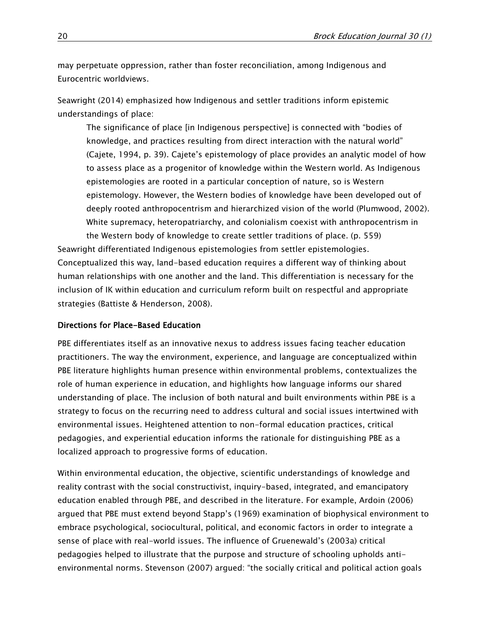may perpetuate oppression, rather than foster reconciliation, among Indigenous and Eurocentric worldviews.

Seawright (2014) emphasized how Indigenous and settler traditions inform epistemic understandings of place:

The significance of place [in Indigenous perspective] is connected with "bodies of knowledge, and practices resulting from direct interaction with the natural world" (Cajete, 1994, p. 39). Cajete's epistemology of place provides an analytic model of how to assess place as a progenitor of knowledge within the Western world. As Indigenous epistemologies are rooted in a particular conception of nature, so is Western epistemology. However, the Western bodies of knowledge have been developed out of deeply rooted anthropocentrism and hierarchized vision of the world (Plumwood, 2002). White supremacy, heteropatriarchy, and colonialism coexist with anthropocentrism in the Western body of knowledge to create settler traditions of place. (p. 559)

Seawright differentiated Indigenous epistemologies from settler epistemologies. Conceptualized this way, land-based education requires a different way of thinking about human relationships with one another and the land. This differentiation is necessary for the inclusion of IK within education and curriculum reform built on respectful and appropriate strategies (Battiste & Henderson, 2008).

#### Directions for Place-Based Education

PBE differentiates itself as an innovative nexus to address issues facing teacher education practitioners. The way the environment, experience, and language are conceptualized within PBE literature highlights human presence within environmental problems, contextualizes the role of human experience in education, and highlights how language informs our shared understanding of place. The inclusion of both natural and built environments within PBE is a strategy to focus on the recurring need to address cultural and social issues intertwined with environmental issues. Heightened attention to non-formal education practices, critical pedagogies, and experiential education informs the rationale for distinguishing PBE as a localized approach to progressive forms of education.

Within environmental education, the objective, scientific understandings of knowledge and reality contrast with the social constructivist, inquiry-based, integrated, and emancipatory education enabled through PBE, and described in the literature. For example, Ardoin (2006) argued that PBE must extend beyond Stapp's (1969) examination of biophysical environment to embrace psychological, sociocultural, political, and economic factors in order to integrate a sense of place with real-world issues. The influence of Gruenewald's (2003a) critical pedagogies helped to illustrate that the purpose and structure of schooling upholds antienvironmental norms. Stevenson (2007) argued: "the socially critical and political action goals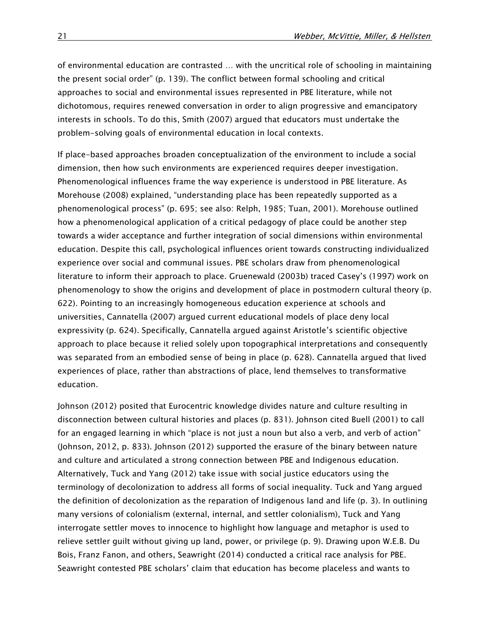of environmental education are contrasted … with the uncritical role of schooling in maintaining the present social order" (p. 139). The conflict between formal schooling and critical approaches to social and environmental issues represented in PBE literature, while not dichotomous, requires renewed conversation in order to align progressive and emancipatory interests in schools. To do this, Smith (2007) argued that educators must undertake the problem-solving goals of environmental education in local contexts.

If place-based approaches broaden conceptualization of the environment to include a social dimension, then how such environments are experienced requires deeper investigation. Phenomenological influences frame the way experience is understood in PBE literature. As Morehouse (2008) explained, "understanding place has been repeatedly supported as a phenomenological process" (p. 695; see also: Relph, 1985; Tuan, 2001). Morehouse outlined how a phenomenological application of a critical pedagogy of place could be another step towards a wider acceptance and further integration of social dimensions within environmental education. Despite this call, psychological influences orient towards constructing individualized experience over social and communal issues. PBE scholars draw from phenomenological literature to inform their approach to place. Gruenewald (2003b) traced Casey's (1997) work on phenomenology to show the origins and development of place in postmodern cultural theory (p. 622). Pointing to an increasingly homogeneous education experience at schools and universities, Cannatella (2007) argued current educational models of place deny local expressivity (p. 624). Specifically, Cannatella argued against Aristotle's scientific objective approach to place because it relied solely upon topographical interpretations and consequently was separated from an embodied sense of being in place (p. 628). Cannatella argued that lived experiences of place, rather than abstractions of place, lend themselves to transformative education.

Johnson (2012) posited that Eurocentric knowledge divides nature and culture resulting in disconnection between cultural histories and places (p. 831). Johnson cited Buell (2001) to call for an engaged learning in which "place is not just a noun but also a verb, and verb of action" (Johnson, 2012, p. 833). Johnson (2012) supported the erasure of the binary between nature and culture and articulated a strong connection between PBE and Indigenous education. Alternatively, Tuck and Yang (2012) take issue with social justice educators using the terminology of decolonization to address all forms of social inequality. Tuck and Yang argued the definition of decolonization as the reparation of Indigenous land and life (p. 3). In outlining many versions of colonialism (external, internal, and settler colonialism), Tuck and Yang interrogate settler moves to innocence to highlight how language and metaphor is used to relieve settler guilt without giving up land, power, or privilege (p. 9). Drawing upon W.E.B. Du Bois, Franz Fanon, and others, Seawright (2014) conducted a critical race analysis for PBE. Seawright contested PBE scholars' claim that education has become placeless and wants to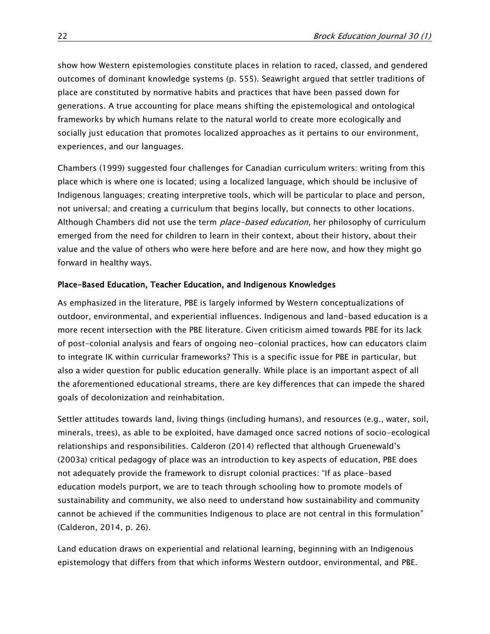show how Western epistemologies constitute places in relation to raced, classed, and gendered outcomes of dominant knowledge systems (p. 555). Seawright argued that settler traditions of place are constituted by normative habits and practices that have been passed down for generations. A true accounting for place means shifting the epistemological and ontological frameworks by which humans relate to the natural world to create more ecologically and socially just education that promotes localized approaches as it pertains to our environment, experiences, and our languages.

Chambers (1999) suggested four challenges for Canadian curriculum writers: writing from this place which is where one is located; using a localized language, which should be inclusive of Indigenous languages; creating interpretive tools, which will be particular to place and person, not universal; and creating a curriculum that begins locally, but connects to other locations. Although Chambers did not use the term *place-based education*, her philosophy of curriculum emerged from the need for children to learn in their context, about their history, about their value and the value of others who were here before and are here now, and how they might go forward in healthy ways.

#### Place-Based Education, Teacher Education, and Indigenous Knowledges

As emphasized in the literature, PBE is largely informed by Western conceptualizations of outdoor, environmental, and experiential influences. Indigenous and land-based education is a more recent intersection with the PBE literature. Given criticism aimed towards PBE for its lack of post-colonial analysis and fears of ongoing neo-colonial practices, how can educators claim to integrate IK within curricular frameworks? This is a specific issue for PBE in particular, but also a wider question for public education generally. While place is an important aspect of all the aforementioned educational streams, there are key differences that can impede the shared goals of decolonization and reinhabitation.

Settler attitudes towards land, living things (including humans), and resources (e.g., water, soil, minerals, trees), as able to be exploited, have damaged once sacred notions of socio-ecological relationships and responsibilities. Calderon (2014) reflected that although Gruenewald's (2003a) critical pedagogy of place was an introduction to key aspects of education, PBE does not adequately provide the framework to disrupt colonial practices: "If as place-based education models purport, we are to teach through schooling how to promote models of sustainability and community, we also need to understand how sustainability and community cannot be achieved if the communities Indigenous to place are not central in this formulation" (Calderon, 2014, p. 26).

Land education draws on experiential and relational learning, beginning with an Indigenous epistemology that differs from that which informs Western outdoor, environmental, and PBE.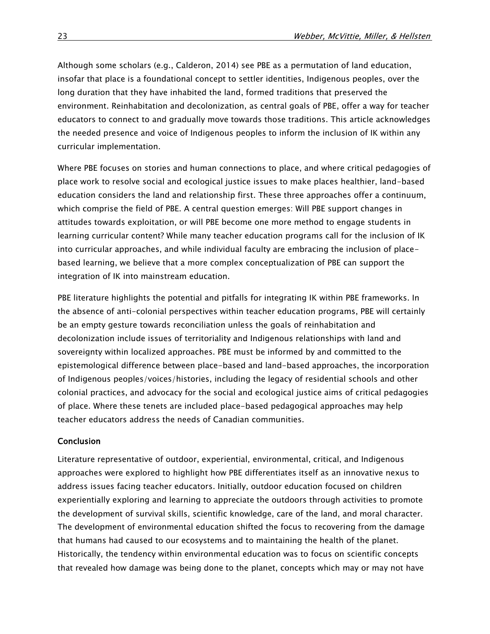Although some scholars (e.g., Calderon, 2014) see PBE as a permutation of land education, insofar that place is a foundational concept to settler identities, Indigenous peoples, over the long duration that they have inhabited the land, formed traditions that preserved the environment. Reinhabitation and decolonization, as central goals of PBE, offer a way for teacher educators to connect to and gradually move towards those traditions. This article acknowledges the needed presence and voice of Indigenous peoples to inform the inclusion of IK within any curricular implementation.

Where PBE focuses on stories and human connections to place, and where critical pedagogies of place work to resolve social and ecological justice issues to make places healthier, land-based education considers the land and relationship first. These three approaches offer a continuum, which comprise the field of PBE. A central question emerges: Will PBE support changes in attitudes towards exploitation, or will PBE become one more method to engage students in learning curricular content? While many teacher education programs call for the inclusion of IK into curricular approaches, and while individual faculty are embracing the inclusion of placebased learning, we believe that a more complex conceptualization of PBE can support the integration of IK into mainstream education.

PBE literature highlights the potential and pitfalls for integrating IK within PBE frameworks. In the absence of anti-colonial perspectives within teacher education programs, PBE will certainly be an empty gesture towards reconciliation unless the goals of reinhabitation and decolonization include issues of territoriality and Indigenous relationships with land and sovereignty within localized approaches. PBE must be informed by and committed to the epistemological difference between place-based and land-based approaches, the incorporation of Indigenous peoples/voices/histories, including the legacy of residential schools and other colonial practices, and advocacy for the social and ecological justice aims of critical pedagogies of place. Where these tenets are included place-based pedagogical approaches may help teacher educators address the needs of Canadian communities.

#### Conclusion

Literature representative of outdoor, experiential, environmental, critical, and Indigenous approaches were explored to highlight how PBE differentiates itself as an innovative nexus to address issues facing teacher educators. Initially, outdoor education focused on children experientially exploring and learning to appreciate the outdoors through activities to promote the development of survival skills, scientific knowledge, care of the land, and moral character. The development of environmental education shifted the focus to recovering from the damage that humans had caused to our ecosystems and to maintaining the health of the planet. Historically, the tendency within environmental education was to focus on scientific concepts that revealed how damage was being done to the planet, concepts which may or may not have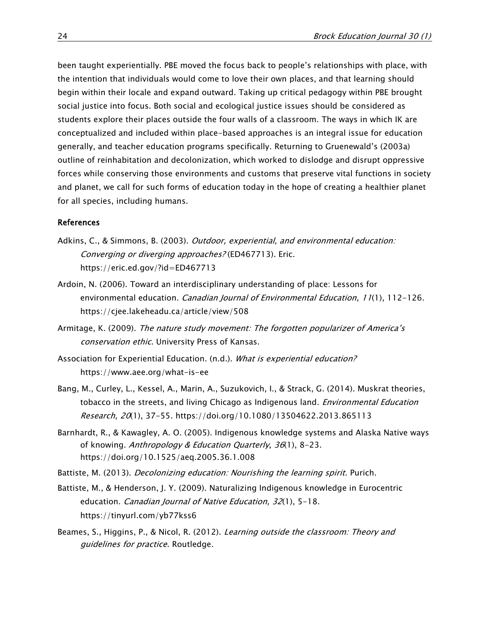been taught experientially. PBE moved the focus back to people's relationships with place, with the intention that individuals would come to love their own places, and that learning should begin within their locale and expand outward. Taking up critical pedagogy within PBE brought social justice into focus. Both social and ecological justice issues should be considered as students explore their places outside the four walls of a classroom. The ways in which IK are conceptualized and included within place-based approaches is an integral issue for education generally, and teacher education programs specifically. Returning to Gruenewald's (2003a) outline of reinhabitation and decolonization, which worked to dislodge and disrupt oppressive forces while conserving those environments and customs that preserve vital functions in society and planet, we call for such forms of education today in the hope of creating a healthier planet for all species, including humans.

#### References

- Adkins, C., & Simmons, B. (2003). *Outdoor, experiential, and environmental education:* Converging or diverging approaches? (ED467713). Eric. <https://eric.ed.gov/?id=ED467713>
- Ardoin, N. (2006). Toward an interdisciplinary understanding of place: Lessons for environmental education. Canadian Journal of Environmental Education, 11(1), 112-126. <https://cjee.lakeheadu.ca/article/view/508>
- Armitage, K. (2009). The nature study movement: The forgotten popularizer of America's conservation ethic. University Press of Kansas.
- Association for Experiential Education. (n.d.). What is experiential education? <https://www.aee.org/what-is-ee>
- Bang, M., Curley, L., Kessel, A., Marin, A., Suzukovich, I., & Strack, G. (2014). Muskrat theories, tobacco in the streets, and living Chicago as Indigenous land. *Environmental Education* Research, 20(1), 37-55.<https://doi.org/10.1080/13504622.2013.865113>
- Barnhardt, R., & Kawagley, A. O. (2005). Indigenous knowledge systems and Alaska Native ways of knowing. Anthropology & Education Quarterly, 36(1), 8-23. <https://doi.org/10.1525/aeq.2005.36.1.008>
- Battiste, M. (2013). *Decolonizing education: Nourishing the learning spirit*. Purich.
- Battiste, M., & Henderson, J. Y. (2009). Naturalizing Indigenous knowledge in Eurocentric education. Canadian Journal of Native Education, 32(1), 5-18. <https://tinyurl.com/yb77kss6>
- Beames, S., Higgins, P., & Nicol, R. (2012). Learning outside the classroom: Theory and guidelines for practice. Routledge.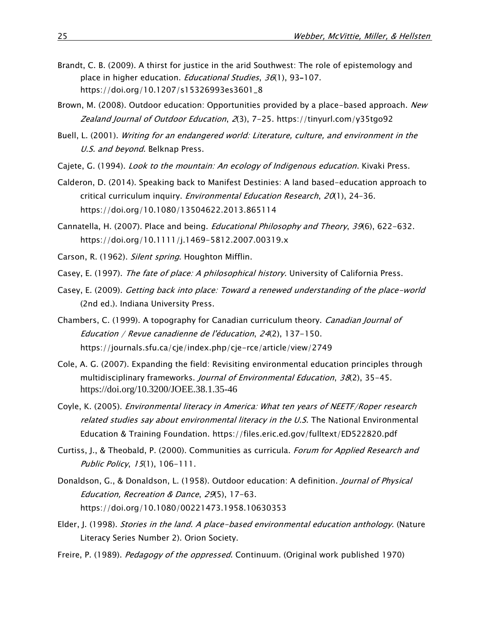- Brandt, C. B. (2009). A thirst for justice in the arid Southwest: The role of epistemology and place in higher education. *Educational Studies*, 36(1), 93-107. [https://doi.org/10.1207/s15326993es3601\\_8](https://doi.org/10.1207/s15326993es3601_8)
- Brown, M. (2008). Outdoor education: Opportunities provided by a place-based approach. New Zealand Journal of Outdoor Education, 2(3), 7-25.<https://tinyurl.com/y35tgo92>
- Buell, L. (2001). Writing for an endangered world: Literature, culture, and environment in the U.S. and beyond. Belknap Press.
- Cajete, G. (1994). Look to the mountain: An ecology of Indigenous education. Kivaki Press.
- Calderon, D. (2014). Speaking back to Manifest Destinies: A land based-education approach to critical curriculum inquiry. *Environmental Education Research*,  $20(1)$ , 24–36. <https://doi.org/10.1080/13504622.2013.865114>
- Cannatella, H. (2007). Place and being. *Educational Philosophy and Theory*, 39(6), 622-632. <https://doi.org/10.1111/j.1469-5812.2007.00319.x>
- Carson, R. (1962). Silent spring. Houghton Mifflin.
- Casey, E. (1997). The fate of place: A philosophical history. University of California Press.
- Casey, E. (2009). Getting back into place: Toward a renewed understanding of the place-world (2nd ed.). Indiana University Press.
- Chambers, C. (1999). A topography for Canadian curriculum theory. Canadian Journal of Education / Revue canadienne de l'éducation, 24(2), 137-150. <https://journals.sfu.ca/cje/index.php/cje-rce/article/view/2749>
- Cole, A. G. (2007). Expanding the field: Revisiting environmental education principles through multidisciplinary frameworks. Journal of Environmental Education, 38(2), 35-45. <https://doi.org/10.3200/JOEE.38.1.35-46>
- Coyle, K. (2005). Environmental literacy in America: What ten years of NEETF/Roper research related studies say about environmental literacy in the U.S. The National Environmental Education & Training Foundation.<https://files.eric.ed.gov/fulltext/ED522820.pdf>
- Curtiss, J., & Theobald, P. (2000). Communities as curricula. Forum for Applied Research and Public Policy, 15(1), 106-111.
- Donaldson, G., & Donaldson, L. (1958). Outdoor education: A definition. *Journal of Physical* Education, Recreation & Dance, 29(5), 17-63. <https://doi.org/10.1080/00221473.1958.10630353>
- Elder, J. (1998). Stories in the land. A place-based environmental education anthology. (Nature Literacy Series Number 2). Orion Society.
- Freire, P. (1989). Pedagogy of the oppressed. Continuum. (Original work published 1970)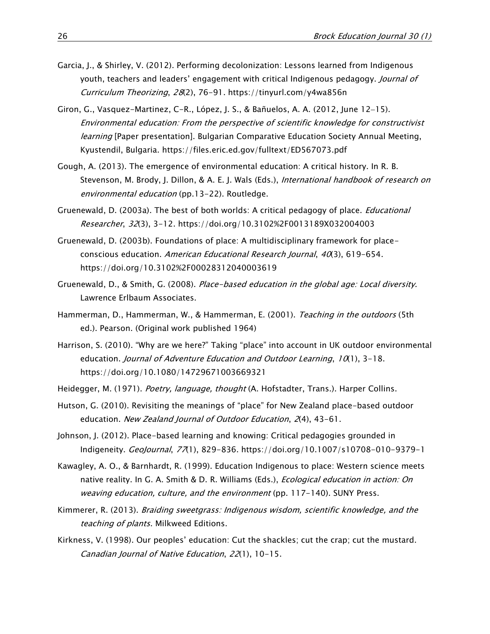- Garcia, J., & Shirley, V. (2012). Performing decolonization: Lessons learned from Indigenous youth, teachers and leaders' engagement with critical Indigenous pedagogy. Journal of Curriculum Theorizing, 28(2), 76-91. <https://tinyurl.com/y4wa856n>
- Giron, G., Vasquez-Martinez, C-R., López, J. S., & Bañuelos, A. A. (2012, June 12-15). Environmental education: From the perspective of scientific knowledge for constructivist learning [Paper presentation]. Bulgarian Comparative Education Society Annual Meeting, Kyustendil, Bulgaria.<https://files.eric.ed.gov/fulltext/ED567073.pdf>
- Gough, A. (2013). The emergence of environmental education: A critical history. In R. B. Stevenson, M. Brody, J. Dillon, & A. E. J. Wals (Eds.), International handbook of research on environmental education (pp.13-22). Routledge.
- Gruenewald, D. (2003a). The best of both worlds: A critical pedagogy of place. *Educational* Researcher, 32(3), 3-12. <https://doi.org/10.3102%2F0013189X032004003>
- Gruenewald, D. (2003b). Foundations of place: A multidisciplinary framework for placeconscious education. American Educational Research Journal, 40(3), 619-654. <https://doi.org/10.3102%2F00028312040003619>
- Gruenewald, D., & Smith, G. (2008). Place-based education in the global age: Local diversity. Lawrence Erlbaum Associates.
- Hammerman, D., Hammerman, W., & Hammerman, E. (2001). Teaching in the outdoors (5th ed.). Pearson. (Original work published 1964)
- Harrison, S. (2010). "Why are we here?" Taking "place" into account in UK outdoor environmental education. Journal of Adventure Education and Outdoor Learning,  $10(1)$ , 3-18. <https://doi.org/10.1080/14729671003669321>
- Heidegger, M. (1971). Poetry, language, thought (A. Hofstadter, Trans.). Harper Collins.
- Hutson, G. (2010). Revisiting the meanings of "place" for New Zealand place-based outdoor education. New Zealand Journal of Outdoor Education, 2(4), 43-61.
- Johnson, J. (2012). Place-based learning and knowing: Critical pedagogies grounded in Indigeneity. GeoJournal, 77(1), 829-836. <https://doi.org/10.1007/s10708-010-9379-1>
- Kawagley, A. O., & Barnhardt, R. (1999). Education Indigenous to place: Western science meets native reality. In G. A. Smith & D. R. Williams (Eds.), *Ecological education in action: On* weaving education, culture, and the environment (pp. 117-140). SUNY Press.
- Kimmerer, R. (2013). Braiding sweetgrass: Indigenous wisdom, scientific knowledge, and the teaching of plants. Milkweed Editions.
- Kirkness, V. (1998). Our peoples' education: Cut the shackles; cut the crap; cut the mustard. Canadian Journal of Native Education, 22(1), 10-15.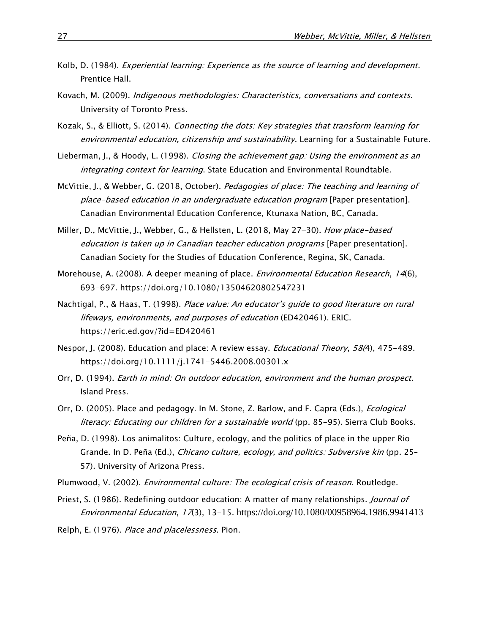- Kolb, D. (1984). Experiential learning: Experience as the source of learning and development. Prentice Hall.
- Kovach, M. (2009). Indigenous methodologies: Characteristics, conversations and contexts. University of Toronto Press.
- Kozak, S., & Elliott, S. (2014). Connecting the dots: Key strategies that transform learning for environmental education, citizenship and sustainability. Learning for a Sustainable Future.
- Lieberman, J., & Hoody, L. (1998). Closing the achievement gap: Using the environment as an integrating context for learning. State Education and Environmental Roundtable.
- McVittie, J., & Webber, G. (2018, October). Pedagogies of place: The teaching and learning of place-based education in an undergraduate education program [Paper presentation]. Canadian Environmental Education Conference, Ktunaxa Nation, BC, Canada.
- Miller, D., McVittie, J., Webber, G., & Hellsten, L. (2018, May 27-30). How place-based education is taken up in Canadian teacher education programs [Paper presentation]. Canadian Society for the Studies of Education Conference, Regina, SK, Canada.
- Morehouse, A. (2008). A deeper meaning of place. *Environmental Education Research*, 14(6), 693-697. <https://doi.org/10.1080/13504620802547231>
- Nachtigal, P., & Haas, T. (1998). Place value: An educator's guide to good literature on rural lifeways, environments, and purposes of education (ED420461). ERIC. <https://eric.ed.gov/?id=ED420461>
- Nespor, J. (2008). Education and place: A review essay. *Educational Theory*, 58(4), 475-489. <https://doi.org/10.1111/j.1741-5446.2008.00301.x>
- Orr, D. (1994). Earth in mind: On outdoor education, environment and the human prospect. Island Press.
- Orr, D. (2005). Place and pedagogy. In M. Stone, Z. Barlow, and F. Capra (Eds.), *Ecological* literacy: Educating our children for a sustainable world (pp. 85-95). Sierra Club Books.
- Peña, D. (1998). Los animalitos: Culture, ecology, and the politics of place in the upper Rio Grande. In D. Peña (Ed.), *Chicano culture, ecology, and politics: Subversive kin* (pp. 25-57). University of Arizona Press.
- Plumwood, V. (2002). *Environmental culture: The ecological crisis of reason*. Routledge.
- Priest, S. (1986). Redefining outdoor education: A matter of many relationships. *Journal of* Environmental Education, 17(3), 13-15. <https://doi.org/10.1080/00958964.1986.9941413>

Relph, E. (1976). Place and placelessness. Pion.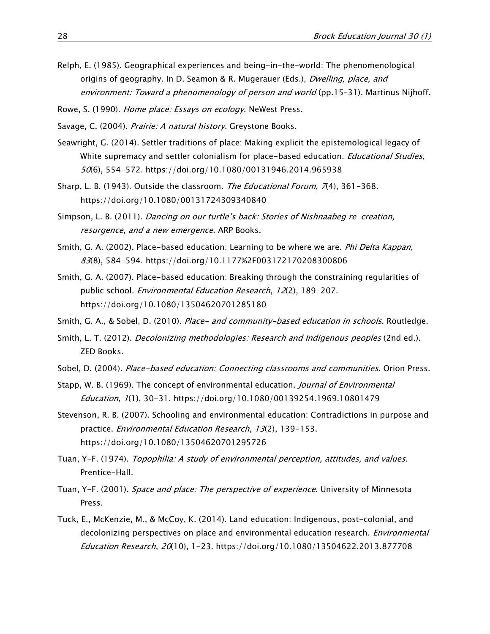- Relph, E. (1985). Geographical experiences and being-in-the-world: The phenomenological origins of geography. In D. Seamon & R. Mugerauer (Eds.), *Dwelling, place, and* environment: Toward a phenomenology of person and world (pp.15-31). Martinus Nijhoff.
- Rowe, S. (1990). Home place: Essays on ecology. NeWest Press.
- Savage, C. (2004). *Prairie: A natural history*. Greystone Books.
- Seawright, G. (2014). Settler traditions of place: Making explicit the epistemological legacy of White supremacy and settler colonialism for place-based education. *Educational Studies*, 50(6), 554-572. <https://doi.org/10.1080/00131946.2014.965938>
- Sharp, L. B. (1943). Outside the classroom. The Educational Forum,  $7(4)$ , 361-368. <https://doi.org/10.1080/00131724309340840>
- Simpson, L. B. (2011). Dancing on our turtle's back: Stories of Nishnaabeg re-creation, resurgence, and a new emergence. ARP Books.
- Smith, G. A. (2002). Place-based education: Learning to be where we are. *Phi Delta Kappan*, 83(8), 584-594.<https://doi.org/10.1177%2F003172170208300806>
- Smith, G. A. (2007). Place-based education: Breaking through the constraining regularities of public school. Environmental Education Research, 12(2), 189-207. <https://doi.org/10.1080/13504620701285180>
- Smith, G. A., & Sobel, D. (2010). Place- and community-based education in schools. Routledge.
- Smith, L. T. (2012). Decolonizing methodologies: Research and Indigenous peoples (2nd ed.). ZED Books.
- Sobel, D. (2004). Place-based education: Connecting classrooms and communities. Orion Press.
- Stapp, W. B. (1969). The concept of environmental education. *Journal of Environmental* Education, 1(1), 30-31. <https://doi.org/10.1080/00139254.1969.10801479>
- Stevenson, R. B. (2007). Schooling and environmental education: Contradictions in purpose and practice. *Environmental Education Research*, 13(2), 139-153. <https://doi.org/10.1080/13504620701295726>
- Tuan, Y-F. (1974). Topophilia: A study of environmental perception, attitudes, and values. Prentice-Hall.
- Tuan, Y-F. (2001). Space and place: The perspective of experience. University of Minnesota Press.
- Tuck, E., McKenzie, M., & McCoy, K. (2014). Land education: Indigenous, post-colonial, and decolonizing perspectives on place and environmental education research. *Environmental* Education Research, 20(10), 1-23. <https://doi.org/10.1080/13504622.2013.877708>